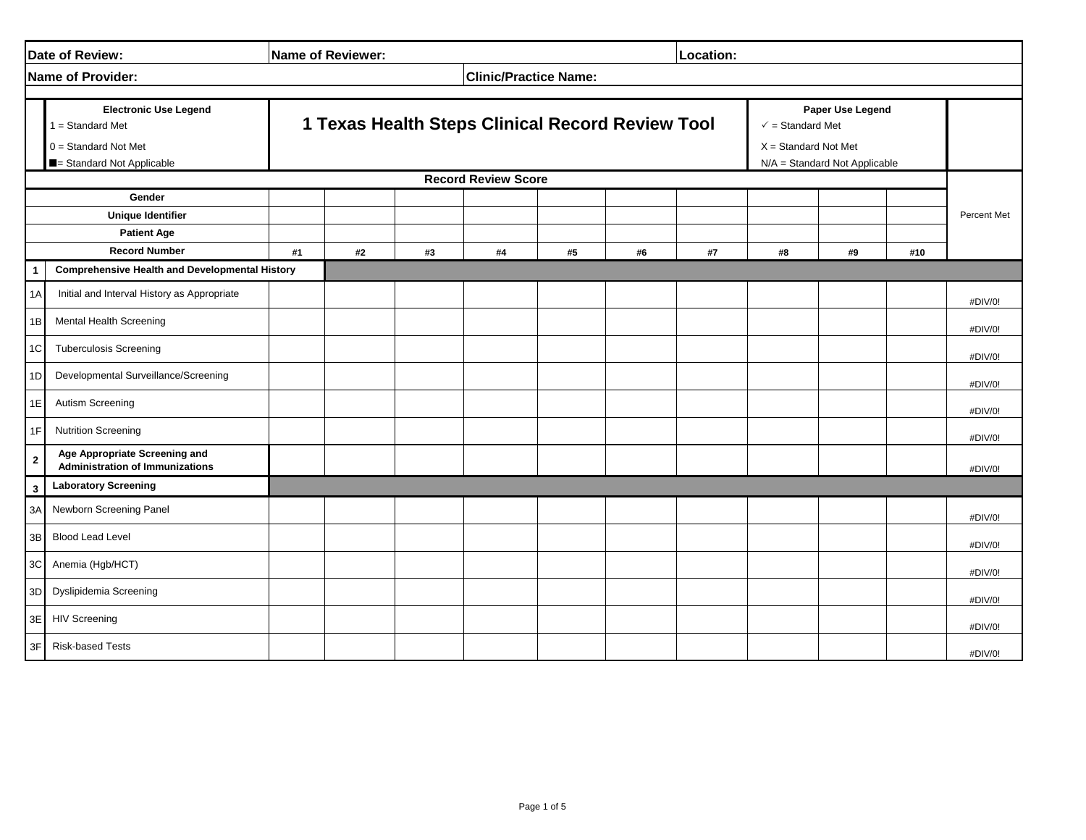|                                                                                  | Date of Review:                                                                                         | Name of Reviewer:                                |    |    |                            |    |    | Location: |    |                                                                                                            |     |             |
|----------------------------------------------------------------------------------|---------------------------------------------------------------------------------------------------------|--------------------------------------------------|----|----|----------------------------|----|----|-----------|----|------------------------------------------------------------------------------------------------------------|-----|-------------|
| <b>Clinic/Practice Name:</b><br><b>Name of Provider:</b>                         |                                                                                                         |                                                  |    |    |                            |    |    |           |    |                                                                                                            |     |             |
|                                                                                  | <b>Electronic Use Legend</b><br>$1 = Standard Met$<br>$0 =$ Standard Not Met<br>Standard Not Applicable | 1 Texas Health Steps Clinical Record Review Tool |    |    |                            |    |    |           |    | Paper Use Legend<br>$\checkmark$ = Standard Met<br>$X = Standard Not Met$<br>N/A = Standard Not Applicable |     |             |
|                                                                                  |                                                                                                         |                                                  |    |    | <b>Record Review Score</b> |    |    |           |    |                                                                                                            |     |             |
| Gender<br><b>Unique Identifier</b><br><b>Patient Age</b><br><b>Record Number</b> |                                                                                                         | #1                                               | #2 | #3 | #4                         | #5 | #6 | #7        | #8 | #9                                                                                                         | #10 | Percent Met |
| 1                                                                                | <b>Comprehensive Health and Developmental History</b>                                                   |                                                  |    |    |                            |    |    |           |    |                                                                                                            |     |             |
| 1A                                                                               | Initial and Interval History as Appropriate                                                             |                                                  |    |    |                            |    |    |           |    |                                                                                                            |     | #DIV/0!     |
| 1B                                                                               | Mental Health Screening                                                                                 |                                                  |    |    |                            |    |    |           |    |                                                                                                            |     | #DIV/0!     |
| 1C                                                                               | <b>Tuberculosis Screening</b>                                                                           |                                                  |    |    |                            |    |    |           |    |                                                                                                            |     | #DIV/0!     |
| 1D                                                                               | Developmental Surveillance/Screening                                                                    |                                                  |    |    |                            |    |    |           |    |                                                                                                            |     | #DIV/0!     |
| 1E                                                                               | Autism Screening                                                                                        |                                                  |    |    |                            |    |    |           |    |                                                                                                            |     | #DIV/0!     |
| 1F                                                                               | <b>Nutrition Screening</b>                                                                              |                                                  |    |    |                            |    |    |           |    |                                                                                                            |     | #DIV/0!     |
| $\mathbf{2}$                                                                     | Age Appropriate Screening and<br><b>Administration of Immunizations</b>                                 |                                                  |    |    |                            |    |    |           |    |                                                                                                            |     | #DIV/0!     |
| 3                                                                                | <b>Laboratory Screening</b>                                                                             |                                                  |    |    |                            |    |    |           |    |                                                                                                            |     |             |
| 3A                                                                               | Newborn Screening Panel                                                                                 |                                                  |    |    |                            |    |    |           |    |                                                                                                            |     | #DIV/0!     |
| 3B                                                                               | <b>Blood Lead Level</b>                                                                                 |                                                  |    |    |                            |    |    |           |    |                                                                                                            |     | #DIV/0!     |
| 3CI                                                                              | Anemia (Hgb/HCT)                                                                                        |                                                  |    |    |                            |    |    |           |    |                                                                                                            |     | #DIV/0!     |
| 3D                                                                               | Dyslipidemia Screening                                                                                  |                                                  |    |    |                            |    |    |           |    |                                                                                                            |     | #DIV/0!     |
|                                                                                  | 3E HIV Screening                                                                                        |                                                  |    |    |                            |    |    |           |    |                                                                                                            |     | #DIV/0!     |
| 3F                                                                               | <b>Risk-based Tests</b>                                                                                 |                                                  |    |    |                            |    |    |           |    |                                                                                                            |     | #DIV/0!     |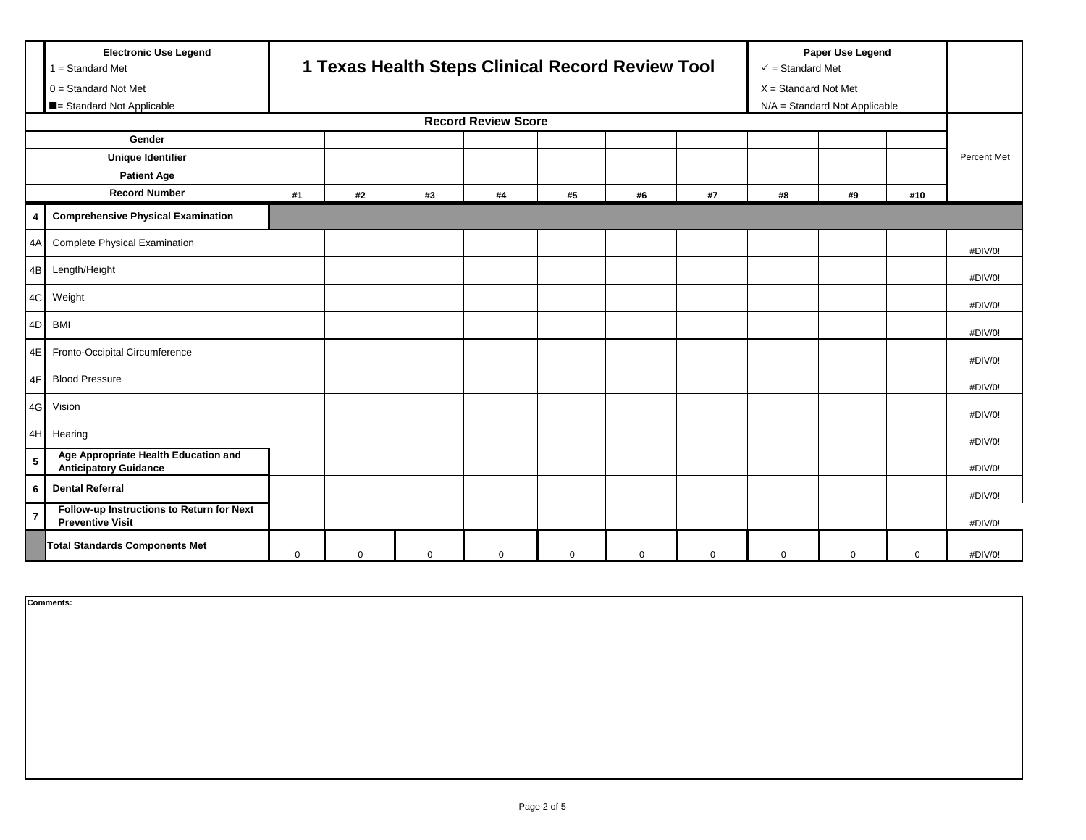|                          | <b>Electronic Use Legend</b><br>$1 = Standard Met$<br>$0 = Standard Not Met$<br>Standard Not Applicable |          | 1 Texas Health Steps Clinical Record Review Tool |             |             |             |             |             |    |             | Paper Use Legend<br>$\checkmark$ = Standard Met<br>$X = Standard Not Met$<br>N/A = Standard Not Applicable |             |  |
|--------------------------|---------------------------------------------------------------------------------------------------------|----------|--------------------------------------------------|-------------|-------------|-------------|-------------|-------------|----|-------------|------------------------------------------------------------------------------------------------------------|-------------|--|
|                          | <b>Record Review Score</b>                                                                              |          |                                                  |             |             |             |             |             |    |             |                                                                                                            |             |  |
| Gender                   |                                                                                                         |          |                                                  |             |             |             |             |             |    |             |                                                                                                            |             |  |
| <b>Unique Identifier</b> |                                                                                                         |          |                                                  |             |             |             |             |             |    |             |                                                                                                            | Percent Met |  |
|                          | <b>Patient Age</b>                                                                                      |          |                                                  |             |             |             |             |             |    |             |                                                                                                            |             |  |
|                          | <b>Record Number</b>                                                                                    | #1       | #2                                               | #3          | #4          | #5          | #6          | #7          | #8 | #9          | #10                                                                                                        |             |  |
| 4                        | <b>Comprehensive Physical Examination</b>                                                               |          |                                                  |             |             |             |             |             |    |             |                                                                                                            |             |  |
| 4A                       | <b>Complete Physical Examination</b>                                                                    |          |                                                  |             |             |             |             |             |    |             |                                                                                                            | #DIV/0!     |  |
| 4B                       | Length/Height                                                                                           |          |                                                  |             |             |             |             |             |    |             |                                                                                                            | #DIV/0!     |  |
| 4C                       | Weight                                                                                                  |          |                                                  |             |             |             |             |             |    |             |                                                                                                            | #DIV/0!     |  |
|                          | 4D BMI                                                                                                  |          |                                                  |             |             |             |             |             |    |             |                                                                                                            | #DIV/0!     |  |
|                          | 4E Fronto-Occipital Circumference                                                                       |          |                                                  |             |             |             |             |             |    |             |                                                                                                            | #DIV/0!     |  |
| 4F                       | <b>Blood Pressure</b>                                                                                   |          |                                                  |             |             |             |             |             |    |             |                                                                                                            | #DIV/0!     |  |
| 4G                       | Vision                                                                                                  |          |                                                  |             |             |             |             |             |    |             |                                                                                                            | #DIV/0!     |  |
|                          | 4H Hearing                                                                                              |          |                                                  |             |             |             |             |             |    |             |                                                                                                            | #DIV/0!     |  |
| 5                        | Age Appropriate Health Education and<br><b>Anticipatory Guidance</b>                                    |          |                                                  |             |             |             |             |             |    |             |                                                                                                            | #DIV/0!     |  |
| 6                        | <b>Dental Referral</b>                                                                                  |          |                                                  |             |             |             |             |             |    |             |                                                                                                            | #DIV/0!     |  |
|                          | Follow-up Instructions to Return for Next<br><b>Preventive Visit</b>                                    |          |                                                  |             |             |             |             |             |    |             |                                                                                                            | #DIV/0!     |  |
|                          | <b>Total Standards Components Met</b>                                                                   | $\Omega$ | $\mathbf 0$                                      | $\mathbf 0$ | $\mathbf 0$ | $\mathsf 0$ | $\mathbf 0$ | $\mathbf 0$ | 0  | $\mathbf 0$ | 0                                                                                                          | #DIV/0!     |  |

**Comments:**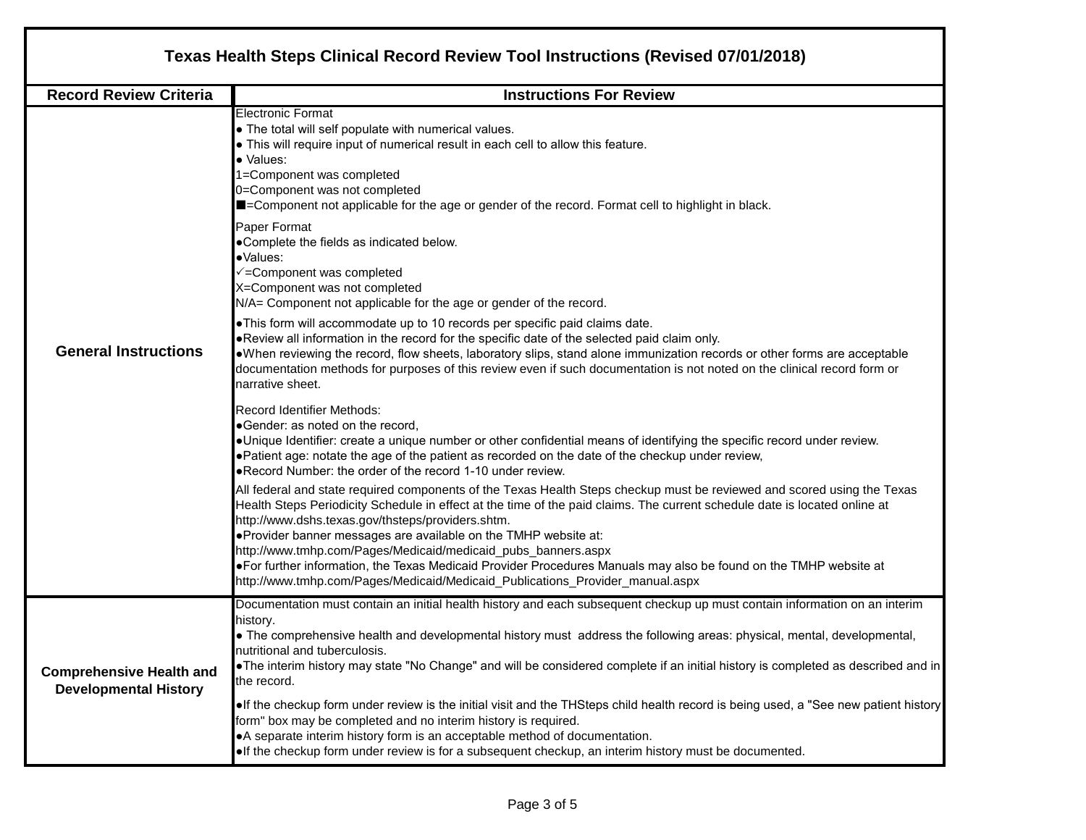|                                                                 | Texas Health Steps Clinical Record Review Tool Instructions (Revised 07/01/2018)                                                                                                                                                                                                                                                                                                                                                                                                                                                                                                                                                                                                                                                                                                                                                                                                                                                                                                                                                                                                                                                                                                                                                                                                                                                                                                                                                                                                                                                                                                                                                                                                                                                                                                                                                                                                                                                                                                                                                                                   |  |  |  |  |  |  |  |  |
|-----------------------------------------------------------------|--------------------------------------------------------------------------------------------------------------------------------------------------------------------------------------------------------------------------------------------------------------------------------------------------------------------------------------------------------------------------------------------------------------------------------------------------------------------------------------------------------------------------------------------------------------------------------------------------------------------------------------------------------------------------------------------------------------------------------------------------------------------------------------------------------------------------------------------------------------------------------------------------------------------------------------------------------------------------------------------------------------------------------------------------------------------------------------------------------------------------------------------------------------------------------------------------------------------------------------------------------------------------------------------------------------------------------------------------------------------------------------------------------------------------------------------------------------------------------------------------------------------------------------------------------------------------------------------------------------------------------------------------------------------------------------------------------------------------------------------------------------------------------------------------------------------------------------------------------------------------------------------------------------------------------------------------------------------------------------------------------------------------------------------------------------------|--|--|--|--|--|--|--|--|
| <b>Record Review Criteria</b>                                   | <b>Instructions For Review</b>                                                                                                                                                                                                                                                                                                                                                                                                                                                                                                                                                                                                                                                                                                                                                                                                                                                                                                                                                                                                                                                                                                                                                                                                                                                                                                                                                                                                                                                                                                                                                                                                                                                                                                                                                                                                                                                                                                                                                                                                                                     |  |  |  |  |  |  |  |  |
| <b>General Instructions</b>                                     | <b>Electronic Format</b><br>. The total will self populate with numerical values.<br>. This will require input of numerical result in each cell to allow this feature.<br>· Values:<br>1=Component was completed<br>0=Component was not completed<br>■=Component not applicable for the age or gender of the record. Format cell to highlight in black.<br>Paper Format<br>.Complete the fields as indicated below.<br>·Values:<br>√=Component was completed<br>X=Component was not completed<br>N/A= Component not applicable for the age or gender of the record.<br>. This form will accommodate up to 10 records per specific paid claims date.<br>. Review all information in the record for the specific date of the selected paid claim only.<br>. When reviewing the record, flow sheets, laboratory slips, stand alone immunization records or other forms are acceptable<br>documentation methods for purposes of this review even if such documentation is not noted on the clinical record form or<br>narrative sheet.<br><b>Record Identifier Methods:</b><br>•Gender: as noted on the record,<br>•Unique Identifier: create a unique number or other confidential means of identifying the specific record under review.<br>• Patient age: notate the age of the patient as recorded on the date of the checkup under review,<br>.Record Number: the order of the record 1-10 under review.<br>All federal and state required components of the Texas Health Steps checkup must be reviewed and scored using the Texas<br>Health Steps Periodicity Schedule in effect at the time of the paid claims. The current schedule date is located online at<br>http://www.dshs.texas.gov/thsteps/providers.shtm.<br>.Provider banner messages are available on the TMHP website at:<br>http://www.tmhp.com/Pages/Medicaid/medicaid_pubs_banners.aspx<br>. For further information, the Texas Medicaid Provider Procedures Manuals may also be found on the TMHP website at<br>http://www.tmhp.com/Pages/Medicaid/Medicaid_Publications_Provider_manual.aspx |  |  |  |  |  |  |  |  |
| <b>Comprehensive Health and</b><br><b>Developmental History</b> | Documentation must contain an initial health history and each subsequent checkup up must contain information on an interim<br>history.<br>• The comprehensive health and developmental history must address the following areas: physical, mental, developmental,<br>nutritional and tuberculosis.<br>. The interim history may state "No Change" and will be considered complete if an initial history is completed as described and in<br>the record.                                                                                                                                                                                                                                                                                                                                                                                                                                                                                                                                                                                                                                                                                                                                                                                                                                                                                                                                                                                                                                                                                                                                                                                                                                                                                                                                                                                                                                                                                                                                                                                                            |  |  |  |  |  |  |  |  |
|                                                                 | . If the checkup form under review is the initial visit and the THSteps child health record is being used, a "See new patient history<br>form" box may be completed and no interim history is required.<br>• A separate interim history form is an acceptable method of documentation.<br>. If the checkup form under review is for a subsequent checkup, an interim history must be documented.                                                                                                                                                                                                                                                                                                                                                                                                                                                                                                                                                                                                                                                                                                                                                                                                                                                                                                                                                                                                                                                                                                                                                                                                                                                                                                                                                                                                                                                                                                                                                                                                                                                                   |  |  |  |  |  |  |  |  |

Г

٦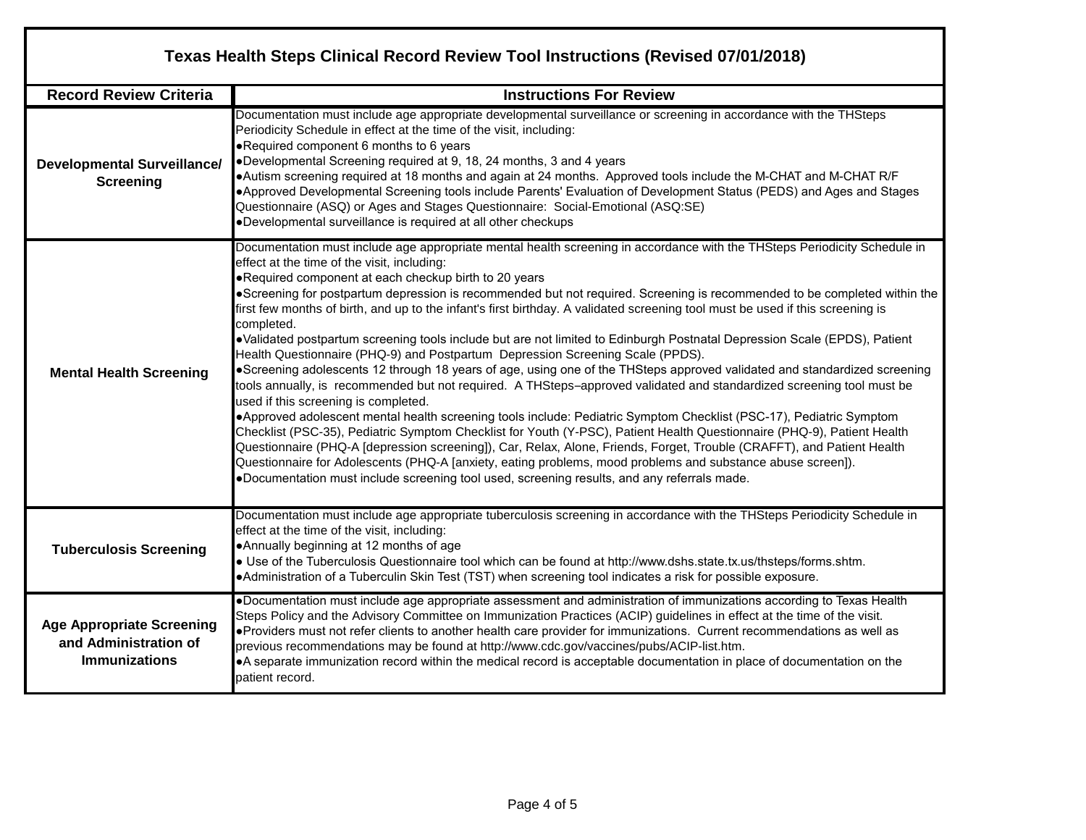| Texas Health Steps Clinical Record Review Tool Instructions (Revised 07/01/2018)  |                                                                                                                                                                                                                                                                                                                                                                                                                                                                                                                                                                                                                                                                                                                                                                                                                                                                                                                                                                                                                                                                                                                                                                                                                                                                                                                                                                                                                                                                                                                                                                                                                         |  |  |  |  |  |  |  |  |
|-----------------------------------------------------------------------------------|-------------------------------------------------------------------------------------------------------------------------------------------------------------------------------------------------------------------------------------------------------------------------------------------------------------------------------------------------------------------------------------------------------------------------------------------------------------------------------------------------------------------------------------------------------------------------------------------------------------------------------------------------------------------------------------------------------------------------------------------------------------------------------------------------------------------------------------------------------------------------------------------------------------------------------------------------------------------------------------------------------------------------------------------------------------------------------------------------------------------------------------------------------------------------------------------------------------------------------------------------------------------------------------------------------------------------------------------------------------------------------------------------------------------------------------------------------------------------------------------------------------------------------------------------------------------------------------------------------------------------|--|--|--|--|--|--|--|--|
| <b>Record Review Criteria</b>                                                     | <b>Instructions For Review</b>                                                                                                                                                                                                                                                                                                                                                                                                                                                                                                                                                                                                                                                                                                                                                                                                                                                                                                                                                                                                                                                                                                                                                                                                                                                                                                                                                                                                                                                                                                                                                                                          |  |  |  |  |  |  |  |  |
| <b>Developmental Surveillance/</b><br><b>Screening</b>                            | Documentation must include age appropriate developmental surveillance or screening in accordance with the THSteps<br>Periodicity Schedule in effect at the time of the visit, including:<br>. Required component 6 months to 6 years<br>.Developmental Screening required at 9, 18, 24 months, 3 and 4 years<br>•Autism screening required at 18 months and again at 24 months. Approved tools include the M-CHAT and M-CHAT R/F<br>•Approved Developmental Screening tools include Parents' Evaluation of Development Status (PEDS) and Ages and Stages<br>Questionnaire (ASQ) or Ages and Stages Questionnaire: Social-Emotional (ASQ:SE)<br>•Developmental surveillance is required at all other checkups                                                                                                                                                                                                                                                                                                                                                                                                                                                                                                                                                                                                                                                                                                                                                                                                                                                                                                            |  |  |  |  |  |  |  |  |
| <b>Mental Health Screening</b>                                                    | Documentation must include age appropriate mental health screening in accordance with the THSteps Periodicity Schedule in<br>effect at the time of the visit, including:<br>. Required component at each checkup birth to 20 years<br>• Screening for postpartum depression is recommended but not required. Screening is recommended to be completed within the<br>first few months of birth, and up to the infant's first birthday. A validated screening tool must be used if this screening is<br>completed.<br>•Validated postpartum screening tools include but are not limited to Edinburgh Postnatal Depression Scale (EPDS), Patient<br>Health Questionnaire (PHQ-9) and Postpartum Depression Screening Scale (PPDS).<br>•Screening adolescents 12 through 18 years of age, using one of the THSteps approved validated and standardized screening<br>tools annually, is recommended but not required. A THSteps-approved validated and standardized screening tool must be<br>used if this screening is completed.<br>•Approved adolescent mental health screening tools include: Pediatric Symptom Checklist (PSC-17), Pediatric Symptom<br>Checklist (PSC-35), Pediatric Symptom Checklist for Youth (Y-PSC), Patient Health Questionnaire (PHQ-9), Patient Health<br>Questionnaire (PHQ-A [depression screening]), Car, Relax, Alone, Friends, Forget, Trouble (CRAFFT), and Patient Health<br>Questionnaire for Adolescents (PHQ-A [anxiety, eating problems, mood problems and substance abuse screen]).<br>.Documentation must include screening tool used, screening results, and any referrals made. |  |  |  |  |  |  |  |  |
| <b>Tuberculosis Screening</b>                                                     | Documentation must include age appropriate tuberculosis screening in accordance with the THSteps Periodicity Schedule in<br>effect at the time of the visit, including:<br>•Annually beginning at 12 months of age<br>. Use of the Tuberculosis Questionnaire tool which can be found at http://www.dshs.state.tx.us/thsteps/forms.shtm.<br>. Administration of a Tuberculin Skin Test (TST) when screening tool indicates a risk for possible exposure.                                                                                                                                                                                                                                                                                                                                                                                                                                                                                                                                                                                                                                                                                                                                                                                                                                                                                                                                                                                                                                                                                                                                                                |  |  |  |  |  |  |  |  |
| <b>Age Appropriate Screening</b><br>and Administration of<br><b>Immunizations</b> | . Documentation must include age appropriate assessment and administration of immunizations according to Texas Health<br>Steps Policy and the Advisory Committee on Immunization Practices (ACIP) guidelines in effect at the time of the visit.<br>. Providers must not refer clients to another health care provider for immunizations. Current recommendations as well as<br>previous recommendations may be found at http://www.cdc.gov/vaccines/pubs/ACIP-list.htm.<br>•A separate immunization record within the medical record is acceptable documentation in place of documentation on the<br>patient record.                                                                                                                                                                                                                                                                                                                                                                                                                                                                                                                                                                                                                                                                                                                                                                                                                                                                                                                                                                                                   |  |  |  |  |  |  |  |  |

٦